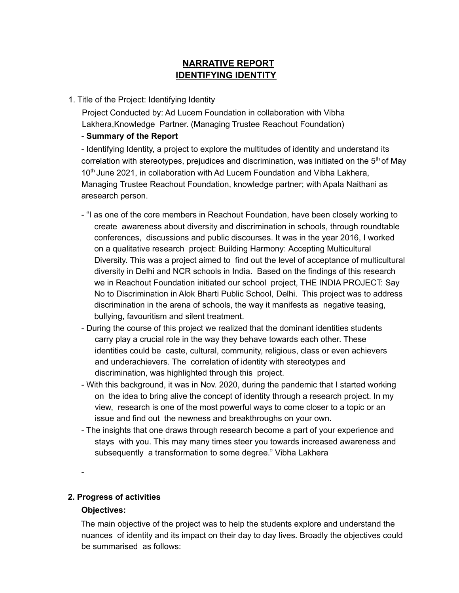# **NARRATIVE REPORT IDENTIFYING IDENTITY**

#### 1. Title of the Project: Identifying Identity

Project Conducted by: Ad Lucem Foundation in collaboration with Vibha Lakhera,Knowledge Partner. (Managing Trustee Reachout Foundation)

### - **Summary of the Report**

- Identifying Identity, a project to explore the multitudes of identity and understand its correlation with stereotypes, prejudices and discrimination, was initiated on the  $5<sup>th</sup>$  of May 10<sup>th</sup> June 2021, in collaboration with Ad Lucem Foundation and Vibha Lakhera, Managing Trustee Reachout Foundation, knowledge partner; with Apala Naithani as aresearch person.

- "I as one of the core members in Reachout Foundation, have been closely working to create awareness about diversity and discrimination in schools, through roundtable conferences, discussions and public discourses. It was in the year 2016, I worked on a qualitative research project: Building Harmony: Accepting Multicultural Diversity. This was a project aimed to find out the level of acceptance of multicultural diversity in Delhi and NCR schools in India. Based on the findings of this research we in Reachout Foundation initiated our school project, THE INDIA PROJECT: Say No to Discrimination in Alok Bharti Public School, Delhi. This project was to address discrimination in the arena of schools, the way it manifests as negative teasing, bullying, favouritism and silent treatment.
- During the course of this project we realized that the dominant identities students carry play a crucial role in the way they behave towards each other. These identities could be caste, cultural, community, religious, class or even achievers and underachievers. The correlation of identity with stereotypes and discrimination, was highlighted through this project.
- With this background, it was in Nov. 2020, during the pandemic that I started working on the idea to bring alive the concept of identity through a research project. In my view, research is one of the most powerful ways to come closer to a topic or an issue and find out the newness and breakthroughs on your own.
- The insights that one draws through research become a part of your experience and stays with you. This may many times steer you towards increased awareness and subsequently a transformation to some degree." Vibha Lakhera

-

# **2. Progress of activities**

#### **Objectives:**

The main objective of the project was to help the students explore and understand the nuances of identity and its impact on their day to day lives. Broadly the objectives could be summarised as follows: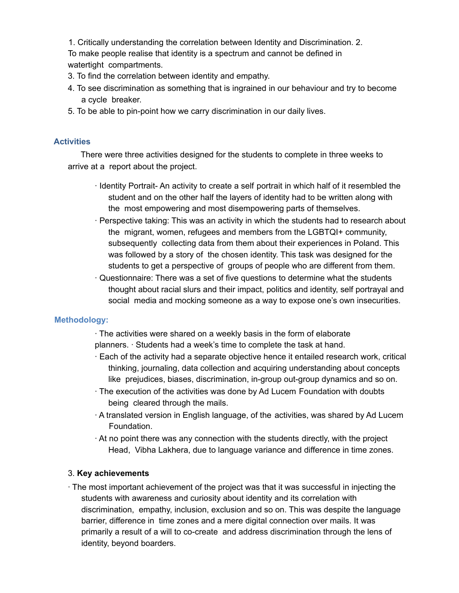1. Critically understanding the correlation between Identity and Discrimination. 2. To make people realise that identity is a spectrum and cannot be defined in watertight compartments.

- 3. To find the correlation between identity and empathy.
- 4. To see discrimination as something that is ingrained in our behaviour and try to become a cycle breaker.
- 5. To be able to pin-point how we carry discrimination in our daily lives.

### **Activities**

There were three activities designed for the students to complete in three weeks to arrive at a report about the project.

- ∙ Identity Portrait- An activity to create a self portrait in which half of it resembled the student and on the other half the layers of identity had to be written along with the most empowering and most disempowering parts of themselves.
- ∙ Perspective taking: This was an activity in which the students had to research about the migrant, women, refugees and members from the LGBTQI+ community, subsequently collecting data from them about their experiences in Poland. This was followed by a story of the chosen identity. This task was designed for the students to get a perspective of groups of people who are different from them.
- ∙ Questionnaire: There was a set of five questions to determine what the students thought about racial slurs and their impact, politics and identity, self portrayal and social media and mocking someone as a way to expose one's own insecurities.

# **Methodology:**

∙ The activities were shared on a weekly basis in the form of elaborate planners. ∙ Students had a week's time to complete the task at hand.

- ∙ Each of the activity had a separate objective hence it entailed research work, critical thinking, journaling, data collection and acquiring understanding about concepts like prejudices, biases, discrimination, in-group out-group dynamics and so on.
- ∙ The execution of the activities was done by Ad Lucem Foundation with doubts being cleared through the mails.
- ∙ A translated version in English language, of the activities, was shared by Ad Lucem Foundation.
- ∙ At no point there was any connection with the students directly, with the project Head, Vibha Lakhera, due to language variance and difference in time zones.

# 3. **Key achievements**

∙ The most important achievement of the project was that it was successful in injecting the students with awareness and curiosity about identity and its correlation with discrimination, empathy, inclusion, exclusion and so on. This was despite the language barrier, difference in time zones and a mere digital connection over mails. It was primarily a result of a will to co-create and address discrimination through the lens of identity, beyond boarders.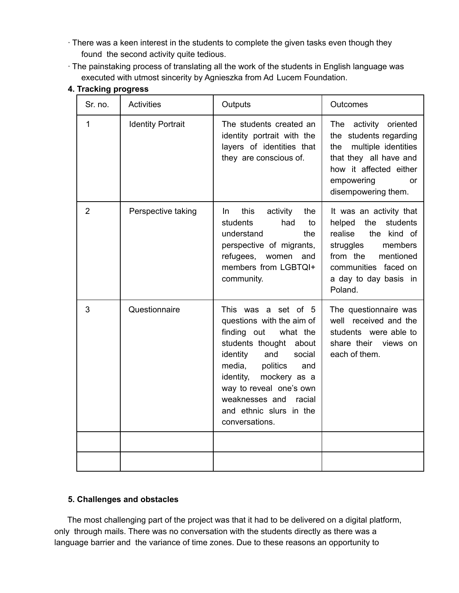- ∙ There was a keen interest in the students to complete the given tasks even though they found the second activity quite tedious.
- ∙ The painstaking process of translating all the work of the students in English language was executed with utmost sincerity by Agnieszka from Ad Lucem Foundation.

| Sr. no.        | <b>Activities</b>        | Outputs                                                                                                                                                                                                                                                                                             | Outcomes                                                                                                                                                                                    |
|----------------|--------------------------|-----------------------------------------------------------------------------------------------------------------------------------------------------------------------------------------------------------------------------------------------------------------------------------------------------|---------------------------------------------------------------------------------------------------------------------------------------------------------------------------------------------|
| $\mathbf{1}$   | <b>Identity Portrait</b> | The students created an<br>identity portrait with the<br>layers of identities that<br>they are conscious of.                                                                                                                                                                                        | The<br>activity oriented<br>the students regarding<br>multiple identities<br>the<br>that they all have and<br>how it affected either<br>empowering<br>or<br>disempowering them.             |
| $\overline{2}$ | Perspective taking       | this<br>activity<br>the<br>In.<br>students<br>had<br>to<br>understand<br>the<br>perspective of migrants,<br>refugees,<br>women<br>and<br>members from LGBTQI+<br>community.                                                                                                                         | It was an activity that<br>helped<br>the<br>students<br>realise<br>the kind of<br>struggles<br>members<br>from the<br>mentioned<br>communities faced on<br>a day to day basis in<br>Poland. |
| 3              | Questionnaire            | This was a set of 5<br>questions with the aim of<br>finding out<br>what the<br>students thought<br>about<br>identity<br>and<br>social<br>media,<br>politics<br>and<br>identity,<br>mockery as a<br>way to reveal one's own<br>weaknesses and<br>racial<br>and ethnic slurs in the<br>conversations. | The questionnaire was<br>well received and the<br>students were able to<br>share their views on<br>each of them.                                                                            |
|                |                          |                                                                                                                                                                                                                                                                                                     |                                                                                                                                                                                             |

### **4. Tracking progress**

# **5. Challenges and obstacles**

The most challenging part of the project was that it had to be delivered on a digital platform, only through mails. There was no conversation with the students directly as there was a language barrier and the variance of time zones. Due to these reasons an opportunity to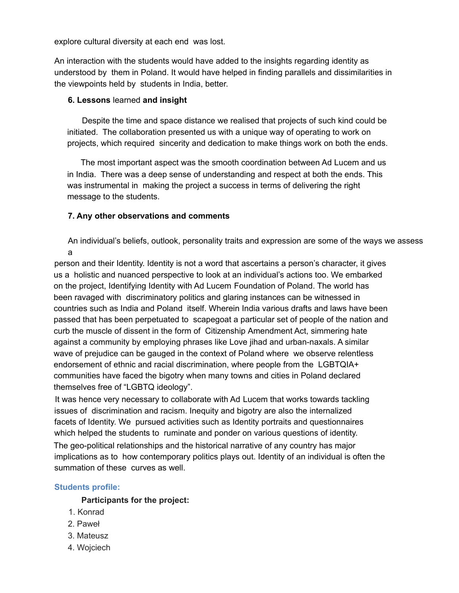explore cultural diversity at each end was lost.

An interaction with the students would have added to the insights regarding identity as understood by them in Poland. It would have helped in finding parallels and dissimilarities in the viewpoints held by students in India, better.

#### **6. Lessons** learned **and insight**

Despite the time and space distance we realised that projects of such kind could be initiated. The collaboration presented us with a unique way of operating to work on projects, which required sincerity and dedication to make things work on both the ends.

The most important aspect was the smooth coordination between Ad Lucem and us in India. There was a deep sense of understanding and respect at both the ends. This was instrumental in making the project a success in terms of delivering the right message to the students.

#### **7. Any other observations and comments**

An individual's beliefs, outlook, personality traits and expression are some of the ways we assess a

person and their Identity. Identity is not a word that ascertains a person's character, it gives us a holistic and nuanced perspective to look at an individual's actions too. We embarked on the project, Identifying Identity with Ad Lucem Foundation of Poland. The world has been ravaged with discriminatory politics and glaring instances can be witnessed in countries such as India and Poland itself. Wherein India various drafts and laws have been passed that has been perpetuated to scapegoat a particular set of people of the nation and curb the muscle of dissent in the form of Citizenship Amendment Act, simmering hate against a community by employing phrases like Love jihad and urban-naxals. A similar wave of prejudice can be gauged in the context of Poland where we observe relentless endorsement of ethnic and racial discrimination, where people from the LGBTQIA+ communities have faced the bigotry when many towns and cities in Poland declared themselves free of "LGBTQ ideology".

It was hence very necessary to collaborate with Ad Lucem that works towards tackling issues of discrimination and racism. Inequity and bigotry are also the internalized facets of Identity. We pursued activities such as Identity portraits and questionnaires which helped the students to ruminate and ponder on various questions of identity.

The geo-political relationships and the historical narrative of any country has major implications as to how contemporary politics plays out. Identity of an individual is often the summation of these curves as well.

#### **Students profile:**

#### **Participants for the project:**

- 1. Konrad
- 2. Paweł
- 3. Mateusz
- 4. Wojciech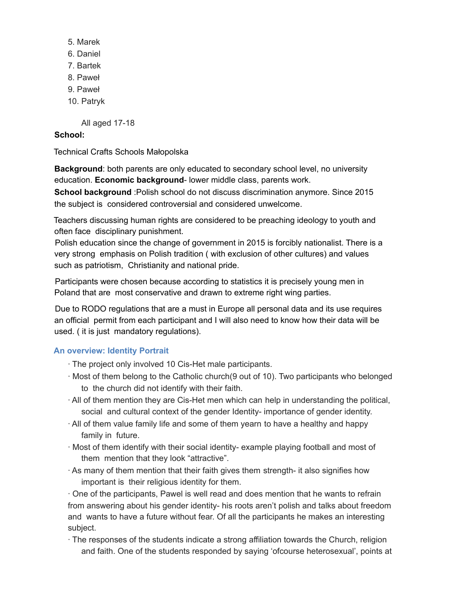- 5. Marek
- 6. Daniel
- 7. Bartek
- 8. Paweł
- 9. Paweł
- 10. Patryk

All aged 17-18

### **School:**

Technical Crafts Schools Małopolska

**Background**: both parents are only educated to secondary school level, no university education. **Economic background**- lower middle class, parents work.

**School background** :Polish school do not discuss discrimination anymore. Since 2015 the subject is considered controversial and considered unwelcome.

Teachers discussing human rights are considered to be preaching ideology to youth and often face disciplinary punishment.

Polish education since the change of government in 2015 is forcibly nationalist. There is a very strong emphasis on Polish tradition ( with exclusion of other cultures) and values such as patriotism, Christianity and national pride.

Participants were chosen because according to statistics it is precisely young men in Poland that are most conservative and drawn to extreme right wing parties.

Due to RODO regulations that are a must in Europe all personal data and its use requires an official permit from each participant and I will also need to know how their data will be used. ( it is just mandatory regulations).

# **An overview: Identity Portrait**

- ∙ The project only involved 10 Cis-Het male participants.
- ∙ Most of them belong to the Catholic church(9 out of 10). Two participants who belonged to the church did not identify with their faith.
- ∙ All of them mention they are Cis-Het men which can help in understanding the political, social and cultural context of the gender Identity- importance of gender identity.
- ∙ All of them value family life and some of them yearn to have a healthy and happy family in future.
- ∙ Most of them identify with their social identity- example playing football and most of them mention that they look "attractive".
- ∙ As many of them mention that their faith gives them strength- it also signifies how important is their religious identity for them.

∙ One of the participants, Pawel is well read and does mention that he wants to refrain from answering about his gender identity- his roots aren't polish and talks about freedom and wants to have a future without fear. Of all the participants he makes an interesting subject.

∙ The responses of the students indicate a strong affiliation towards the Church, religion and faith. One of the students responded by saying 'ofcourse heterosexual', points at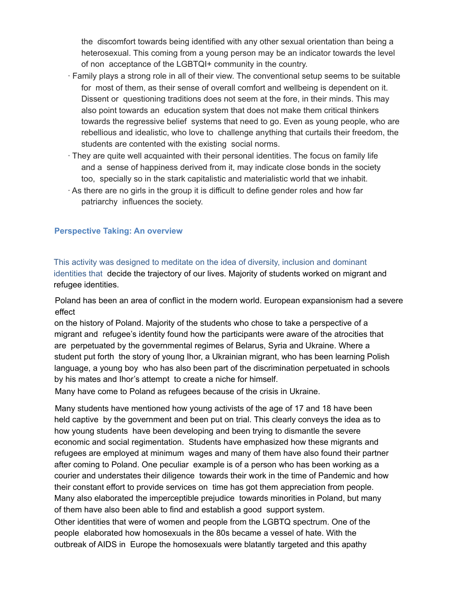the discomfort towards being identified with any other sexual orientation than being a heterosexual. This coming from a young person may be an indicator towards the level of non acceptance of the LGBTQI+ community in the country.

- ∙ Family plays a strong role in all of their view. The conventional setup seems to be suitable for most of them, as their sense of overall comfort and wellbeing is dependent on it. Dissent or questioning traditions does not seem at the fore, in their minds. This may also point towards an education system that does not make them critical thinkers towards the regressive belief systems that need to go. Even as young people, who are rebellious and idealistic, who love to challenge anything that curtails their freedom, the students are contented with the existing social norms.
- ∙ They are quite well acquainted with their personal identities. The focus on family life and a sense of happiness derived from it, may indicate close bonds in the society too, specially so in the stark capitalistic and materialistic world that we inhabit.
- ∙ As there are no girls in the group it is difficult to define gender roles and how far patriarchy influences the society.

### **Perspective Taking: An overview**

This activity was designed to meditate on the idea of diversity, inclusion and dominant identities that decide the trajectory of our lives. Majority of students worked on migrant and refugee identities.

Poland has been an area of conflict in the modern world. European expansionism had a severe effect

on the history of Poland. Majority of the students who chose to take a perspective of a migrant and refugee's identity found how the participants were aware of the atrocities that are perpetuated by the governmental regimes of Belarus, Syria and Ukraine. Where a student put forth the story of young Ihor, a Ukrainian migrant, who has been learning Polish language, a young boy who has also been part of the discrimination perpetuated in schools by his mates and Ihor's attempt to create a niche for himself.

Many have come to Poland as refugees because of the crisis in Ukraine.

Many students have mentioned how young activists of the age of 17 and 18 have been held captive by the government and been put on trial. This clearly conveys the idea as to how young students have been developing and been trying to dismantle the severe economic and social regimentation. Students have emphasized how these migrants and refugees are employed at minimum wages and many of them have also found their partner after coming to Poland. One peculiar example is of a person who has been working as a courier and understates their diligence towards their work in the time of Pandemic and how their constant effort to provide services on time has got them appreciation from people. Many also elaborated the imperceptible prejudice towards minorities in Poland, but many of them have also been able to find and establish a good support system.

Other identities that were of women and people from the LGBTQ spectrum. One of the people elaborated how homosexuals in the 80s became a vessel of hate. With the outbreak of AIDS in Europe the homosexuals were blatantly targeted and this apathy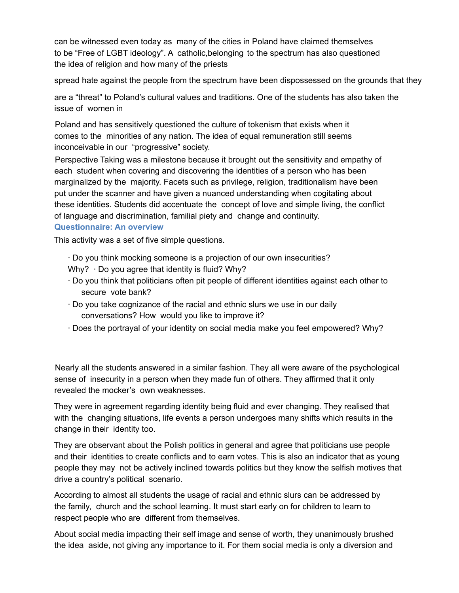can be witnessed even today as many of the cities in Poland have claimed themselves to be "Free of LGBT ideology". A catholic,belonging to the spectrum has also questioned the idea of religion and how many of the priests

spread hate against the people from the spectrum have been dispossessed on the grounds that they

are a "threat" to Poland's cultural values and traditions. One of the students has also taken the issue of women in

Poland and has sensitively questioned the culture of tokenism that exists when it comes to the minorities of any nation. The idea of equal remuneration still seems inconceivable in our "progressive" society.

Perspective Taking was a milestone because it brought out the sensitivity and empathy of each student when covering and discovering the identities of a person who has been marginalized by the majority. Facets such as privilege, religion, traditionalism have been put under the scanner and have given a nuanced understanding when cogitating about these identities. Students did accentuate the concept of love and simple living, the conflict of language and discrimination, familial piety and change and continuity. **Questionnaire: An overview**

This activity was a set of five simple questions.

- ∙ Do you think mocking someone is a projection of our own insecurities?
- Why? ⋅ Do you agree that identity is fluid? Why?
- ∙ Do you think that politicians often pit people of different identities against each other to secure vote bank?
- ∙ Do you take cognizance of the racial and ethnic slurs we use in our daily conversations? How would you like to improve it?
- ∙ Does the portrayal of your identity on social media make you feel empowered? Why?

Nearly all the students answered in a similar fashion. They all were aware of the psychological sense of insecurity in a person when they made fun of others. They affirmed that it only revealed the mocker's own weaknesses.

They were in agreement regarding identity being fluid and ever changing. They realised that with the changing situations, life events a person undergoes many shifts which results in the change in their identity too.

They are observant about the Polish politics in general and agree that politicians use people and their identities to create conflicts and to earn votes. This is also an indicator that as young people they may not be actively inclined towards politics but they know the selfish motives that drive a country's political scenario.

According to almost all students the usage of racial and ethnic slurs can be addressed by the family, church and the school learning. It must start early on for children to learn to respect people who are different from themselves.

About social media impacting their self image and sense of worth, they unanimously brushed the idea aside, not giving any importance to it. For them social media is only a diversion and